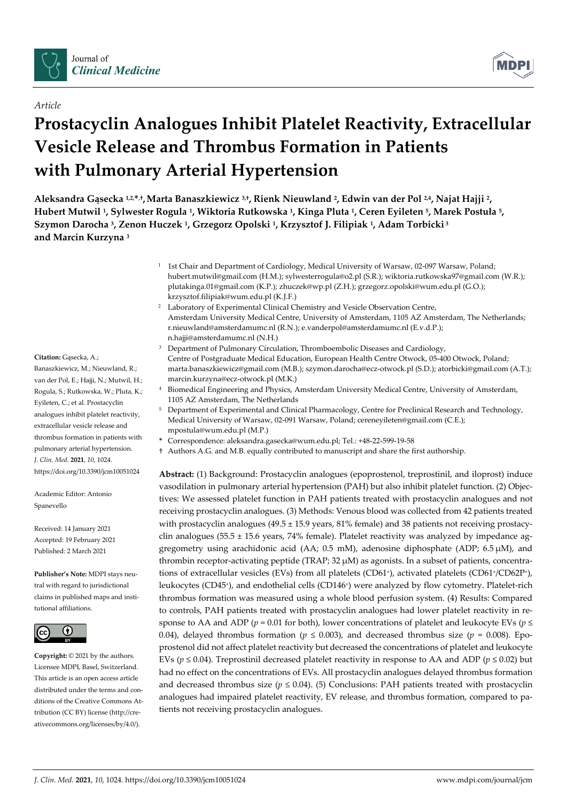

# *Article*

# **Prostacyclin Analogues Inhibit Platelet Reactivity, Extracellular Vesicle Release and Thrombus Formation in Patients with Pulmonary Arterial Hypertension**

**Aleksandra Gąsecka 1,2,\*,†,Marta Banaszkiewicz 3,†, Rienk Nieuwland 2, Edwin van der Pol 2,4, Najat Hajji 2, Hubert Mutwil 1, Sylwester Rogula 1, Wiktoria Rutkowska 1, Kinga Pluta 1, Ceren Eyileten 5, Marek Postuła 5, Szymon Darocha 3, Zenon Huczek 1, Grzegorz Opolski 1, Krzysztof J. Filipiak 1, Adam Torbicki <sup>3</sup> and Marcin Kurzyna 3**

- <sup>1</sup> 1st Chair and Department of Cardiology, Medical University of Warsaw, 02-097 Warsaw, Poland; hubert.mutwil@gmail.com (H.M.); sylwesterrogula@o2.pl (S.R.); wiktoria.rutkowska97@gmail.com (W.R.); plutakinga.01@gmail.com (K.P.); zhuczek@wp.pl (Z.H.); grzegorz.opolski@wum.edu.pl (G.O.); krzysztof.filipiak@wum.edu.pl (K.J.F.)
- <sup>2</sup> Laboratory of Experimental Clinical Chemistry and Vesicle Observation Centre, Amsterdam University Medical Centre, University of Amsterdam, 1105 AZ Amsterdam, The Netherlands; r.nieuwland@amsterdamumc.nl (R.N.); e.vanderpol@amsterdamumc.nl (E.v.d.P.); n.hajji@amsterdamumc.nl (N.H.)
- <sup>3</sup> Department of Pulmonary Circulation, Thromboembolic Diseases and Cardiology, Centre of Postgraduate Medical Education, European Health Centre Otwock, 05-400 Otwock, Poland; marta.banaszkiewicz@gmail.com (M.B.); szymon.darocha@ecz-otwock.pl (S.D.); atorbicki@gmail.com (A.T.); marcin.kurzyna@ecz-otwock.pl (M.K.)
- <sup>4</sup> Biomedical Engineering and Physics, Amsterdam University Medical Centre, University of Amsterdam, 1105 AZ Amsterdam, The Netherlands
- <sup>5</sup> Department of Experimental and Clinical Pharmacology, Centre for Preclinical Research and Technology, Medical University of Warsaw, 02-091 Warsaw, Poland; cereneyileten@gmail.com (C.E.); mpostula@wum.edu.pl (M.P.)
- **\*** Correspondence: aleksandra.gasecka@wum.edu.pl; Tel.: +48-22-599-19-58
- † Authors A.G. and M.B. equally contributed to manuscript and share the first authorship.

**Abstract:** (1) Background: Prostacyclin analogues (epoprostenol, treprostinil, and iloprost) induce vasodilation in pulmonary arterial hypertension (PAH) but also inhibit platelet function. (2) Objectives: We assessed platelet function in PAH patients treated with prostacyclin analogues and not receiving prostacyclin analogues. (3) Methods: Venous blood was collected from 42 patients treated with prostacyclin analogues (49.5 ± 15.9 years, 81% female) and 38 patients not receiving prostacyclin analogues ( $55.5 \pm 15.6$  years, 74% female). Platelet reactivity was analyzed by impedance aggregometry using arachidonic acid (AA;  $0.5$  mM), adenosine diphosphate (ADP;  $6.5 \mu M$ ), and thrombin receptor-activating peptide (TRAP; 32 µM) as agonists. In a subset of patients, concentrations of extracellular vesicles (EVs) from all platelets (CD61+), activated platelets (CD61+/CD62P+), leukocytes (CD45<sup>+</sup>), and endothelial cells (CD146<sup>+</sup>) were analyzed by flow cytometry. Platelet-rich thrombus formation was measured using a whole blood perfusion system. (4) Results: Compared to controls, PAH patients treated with prostacyclin analogues had lower platelet reactivity in response to AA and ADP ( $p = 0.01$  for both), lower concentrations of platelet and leukocyte EVs ( $p \leq$ 0.04), delayed thrombus formation ( $p \le 0.003$ ), and decreased thrombus size ( $p = 0.008$ ). Epoprostenol did not affect platelet reactivity but decreased the concentrations of platelet and leukocyte EVs ( $p \le 0.04$ ). Treprostinil decreased platelet reactivity in response to AA and ADP ( $p \le 0.02$ ) but had no effect on the concentrations of EVs. All prostacyclin analogues delayed thrombus formation and decreased thrombus size ( $p \le 0.04$ ). (5) Conclusions: PAH patients treated with prostacyclin analogues had impaired platelet reactivity, EV release, and thrombus formation, compared to patients not receiving prostacyclin analogues.

# **Citation:** Gąsecka, A.;

Banaszkiewicz, M.; Nieuwland, R.; van der Pol, E.; Hajji, N.; Mutwil, H.; Rogula, S.; Rutkowska, W.; Pluta, K.; Eyileten, C.; et al. Prostacyclin analogues inhibit platelet reactivity, extracellular vesicle release and thrombus formation in patients with pulmonary arterial hypertension. *J. Clin. Med.* **2021**, *10*, 1024. https://doi.org/10.3390/jcm10051024

Academic Editor: Antonio Spanevello

Received: 14 January 2021 Accepted: 19 February 2021 Published: 2 March 2021

**Publisher's Note:** MDPI stays neutral with regard to jurisdictional claims in published maps and institutional affiliations.



**Copyright:** © 2021 by the authors. Licensee MDPI, Basel, Switzerland. This article is an open access article distributed under the terms and conditions of the Creative Commons Attribution (CC BY) license (http://creativecommons.org/licenses/by/4.0/).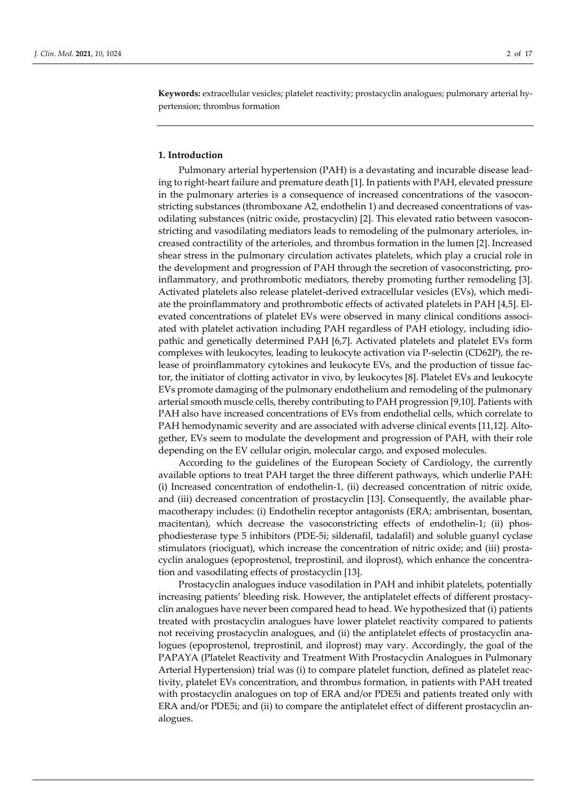**Keywords:** extracellular vesicles; platelet reactivity; prostacyclin analogues; pulmonary arterial hypertension; thrombus formation

## **1. Introduction**

Pulmonary arterial hypertension (PAH) is a devastating and incurable disease leading to right-heart failure and premature death [1]. In patients with PAH, elevated pressure in the pulmonary arteries is a consequence of increased concentrations of the vasoconstricting substances (thromboxane A2, endothelin 1) and decreased concentrations of vasodilating substances (nitric oxide, prostacyclin) [2]. This elevated ratio between vasoconstricting and vasodilating mediators leads to remodeling of the pulmonary arterioles, increased contractility of the arterioles, and thrombus formation in the lumen [2]. Increased shear stress in the pulmonary circulation activates platelets, which play a crucial role in the development and progression of PAH through the secretion of vasoconstricting, proinflammatory, and prothrombotic mediators, thereby promoting further remodeling [3]. Activated platelets also release platelet-derived extracellular vesicles (EVs), which mediate the proinflammatory and prothrombotic effects of activated platelets in PAH [4,5]. Elevated concentrations of platelet EVs were observed in many clinical conditions associated with platelet activation including PAH regardless of PAH etiology, including idiopathic and genetically determined PAH [6,7]. Activated platelets and platelet EVs form complexes with leukocytes, leading to leukocyte activation via P-selectin (CD62P), the release of proinflammatory cytokines and leukocyte EVs, and the production of tissue factor, the initiator of clotting activator in vivo, by leukocytes [8]. Platelet EVs and leukocyte EVs promote damaging of the pulmonary endothelium and remodeling of the pulmonary arterial smooth muscle cells, thereby contributing to PAH progression [9,10]. Patients with PAH also have increased concentrations of EVs from endothelial cells, which correlate to PAH hemodynamic severity and are associated with adverse clinical events [11,12]. Altogether, EVs seem to modulate the development and progression of PAH, with their role depending on the EV cellular origin, molecular cargo, and exposed molecules.

According to the guidelines of the European Society of Cardiology, the currently available options to treat PAH target the three different pathways, which underlie PAH: (i) Increased concentration of endothelin-1, (ii) decreased concentration of nitric oxide, and (iii) decreased concentration of prostacyclin [13]. Consequently, the available pharmacotherapy includes: (i) Endothelin receptor antagonists (ERA; ambrisentan, bosentan, macitentan), which decrease the vasoconstricting effects of endothelin-1; (ii) phosphodiesterase type 5 inhibitors (PDE-5i; sildenafil, tadalafil) and soluble guanyl cyclase stimulators (riociguat), which increase the concentration of nitric oxide; and (iii) prostacyclin analogues (epoprostenol, treprostinil, and iloprost), which enhance the concentration and vasodilating effects of prostacyclin [13].

Prostacyclin analogues induce vasodilation in PAH and inhibit platelets, potentially increasing patients' bleeding risk. However, the antiplatelet effects of different prostacyclin analogues have never been compared head to head. We hypothesized that (i) patients treated with prostacyclin analogues have lower platelet reactivity compared to patients not receiving prostacyclin analogues, and (ii) the antiplatelet effects of prostacyclin analogues (epoprostenol, treprostinil, and iloprost) may vary. Accordingly, the goal of the PAPAYA (Platelet Reactivity and Treatment With Prostacyclin Analogues in Pulmonary Arterial Hypertension) trial was (i) to compare platelet function, defined as platelet reactivity, platelet EVs concentration, and thrombus formation, in patients with PAH treated with prostacyclin analogues on top of ERA and/or PDE5i and patients treated only with ERA and/or PDE5i; and (ii) to compare the antiplatelet effect of different prostacyclin analogues.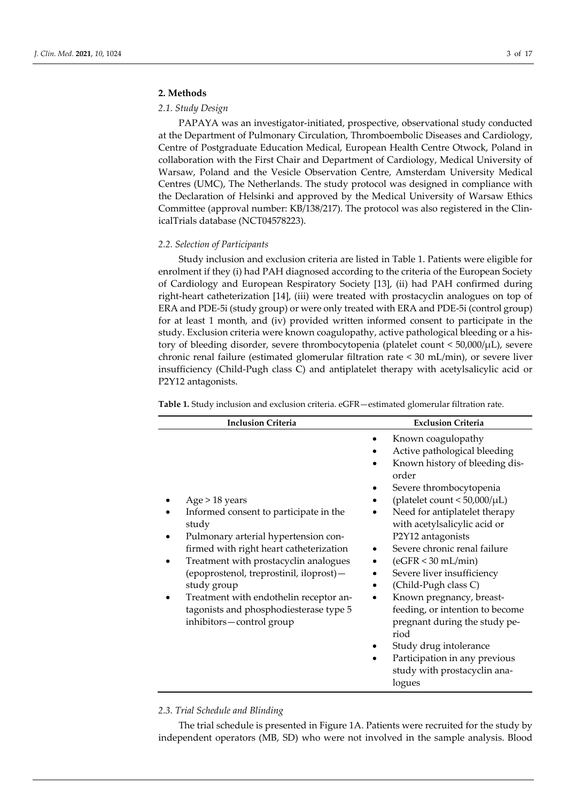# **2. Methods**

# *2.1. Study Design*

PAPAYA was an investigator-initiated, prospective, observational study conducted at the Department of Pulmonary Circulation, Thromboembolic Diseases and Cardiology, Centre of Postgraduate Education Medical, European Health Centre Otwock, Poland in collaboration with the First Chair and Department of Cardiology, Medical University of Warsaw, Poland and the Vesicle Observation Centre, Amsterdam University Medical Centres (UMC), The Netherlands. The study protocol was designed in compliance with the Declaration of Helsinki and approved by the Medical University of Warsaw Ethics Committee (approval number: KB/138/217). The protocol was also registered in the ClinicalTrials database (NCT04578223).

#### *2.2. Selection of Participants*

Study inclusion and exclusion criteria are listed in Table 1. Patients were eligible for enrolment if they (i) had PAH diagnosed according to the criteria of the European Society of Cardiology and European Respiratory Society [13], (ii) had PAH confirmed during right-heart catheterization [14], (iii) were treated with prostacyclin analogues on top of ERA and PDE-5i (study group) or were only treated with ERA and PDE-5i (control group) for at least 1 month, and (iv) provided written informed consent to participate in the study. Exclusion criteria were known coagulopathy, active pathological bleeding or a history of bleeding disorder, severe thrombocytopenia (platelet count < 50,000/μL), severe chronic renal failure (estimated glomerular filtration rate < 30 mL/min), or severe liver insufficiency (Child-Pugh class C) and antiplatelet therapy with acetylsalicylic acid or P2Y12 antagonists.

| <b>Inclusion Criteria</b>                                                                                                                                                                                                                                                                                                                                               | <b>Exclusion Criteria</b>                                                                                                                                                                                                                                                                                                                                                                                                                                                                                                                                                                       |  |  |  |
|-------------------------------------------------------------------------------------------------------------------------------------------------------------------------------------------------------------------------------------------------------------------------------------------------------------------------------------------------------------------------|-------------------------------------------------------------------------------------------------------------------------------------------------------------------------------------------------------------------------------------------------------------------------------------------------------------------------------------------------------------------------------------------------------------------------------------------------------------------------------------------------------------------------------------------------------------------------------------------------|--|--|--|
| Age > 18 years<br>Informed consent to participate in the<br>study<br>Pulmonary arterial hypertension con-<br>firmed with right heart catheterization<br>Treatment with prostacyclin analogues<br>(epoprostenol, treprostinil, iloprost)-<br>study group<br>Treatment with endothelin receptor an-<br>tagonists and phosphodiesterase type 5<br>inhibitors-control group | Known coagulopathy<br>Active pathological bleeding<br>Known history of bleeding dis-<br>order<br>Severe thrombocytopenia<br>(platelet count $< 50,000/\mu L$ )<br>Need for antiplatelet therapy<br>with acetylsalicylic acid or<br>P2Y12 antagonists<br>Severe chronic renal failure<br>$\bullet$<br>$(eGFR < 30$ mL/min)<br>Severe liver insufficiency<br>(Child-Pugh class C)<br>$\bullet$<br>Known pregnancy, breast-<br>feeding, or intention to become<br>pregnant during the study pe-<br>riod<br>Study drug intolerance<br>Participation in any previous<br>study with prostacyclin ana- |  |  |  |
|                                                                                                                                                                                                                                                                                                                                                                         | logues                                                                                                                                                                                                                                                                                                                                                                                                                                                                                                                                                                                          |  |  |  |

**Table 1.** Study inclusion and exclusion criteria. eGFR—estimated glomerular filtration rate.

### *2.3. Trial Schedule and Blinding*

The trial schedule is presented in Figure 1A. Patients were recruited for the study by independent operators (MB, SD) who were not involved in the sample analysis. Blood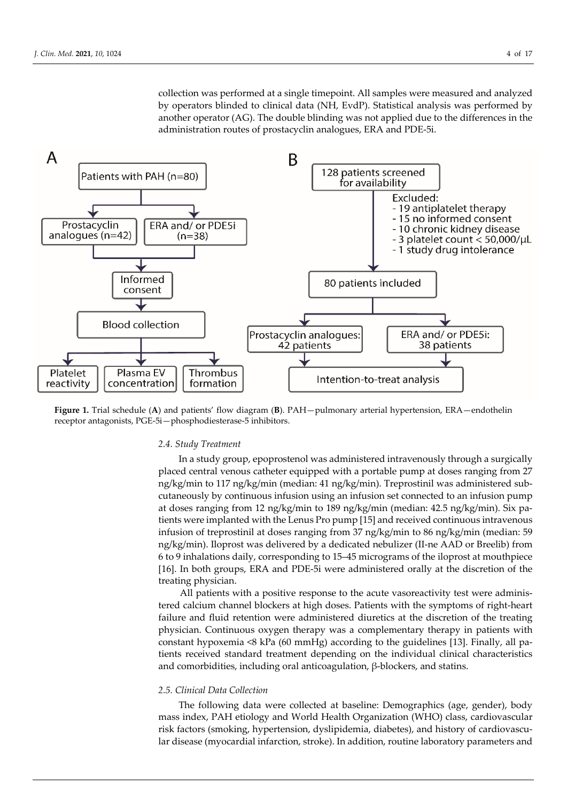collection was performed at a single timepoint. All samples were measured and analyzed by operators blinded to clinical data (NH, EvdP). Statistical analysis was performed by another operator (AG). The double blinding was not applied due to the differences in the administration routes of prostacyclin analogues, ERA and PDE-5i.



**Figure 1.** Trial schedule (**A**) and patients' flow diagram (**B**). PAH—pulmonary arterial hypertension, ERA—endothelin receptor antagonists, PGE-5i—phosphodiesterase-5 inhibitors.

#### *2.4. Study Treatment*

In a study group, epoprostenol was administered intravenously through a surgically placed central venous catheter equipped with a portable pump at doses ranging from 27 ng/kg/min to 117 ng/kg/min (median: 41 ng/kg/min). Treprostinil was administered subcutaneously by continuous infusion using an infusion set connected to an infusion pump at doses ranging from 12 ng/kg/min to 189 ng/kg/min (median: 42.5 ng/kg/min). Six patients were implanted with the Lenus Pro pump [15] and received continuous intravenous infusion of treprostinil at doses ranging from 37 ng/kg/min to 86 ng/kg/min (median: 59 ng/kg/min). Iloprost was delivered by a dedicated nebulizer (II-ne AAD or Breelib) from 6 to 9 inhalations daily, corresponding to 15–45 micrograms of the iloprost at mouthpiece [16]. In both groups, ERA and PDE-5i were administered orally at the discretion of the treating physician.

All patients with a positive response to the acute vasoreactivity test were administered calcium channel blockers at high doses. Patients with the symptoms of right-heart failure and fluid retention were administered diuretics at the discretion of the treating physician. Continuous oxygen therapy was a complementary therapy in patients with constant hypoxemia <8 kPa (60 mmHg) according to the guidelines [13]. Finally, all patients received standard treatment depending on the individual clinical characteristics and comorbidities, including oral anticoagulation, β-blockers, and statins.

#### *2.5. Clinical Data Collection*

The following data were collected at baseline: Demographics (age, gender), body mass index, PAH etiology and World Health Organization (WHO) class, cardiovascular risk factors (smoking, hypertension, dyslipidemia, diabetes), and history of cardiovascular disease (myocardial infarction, stroke). In addition, routine laboratory parameters and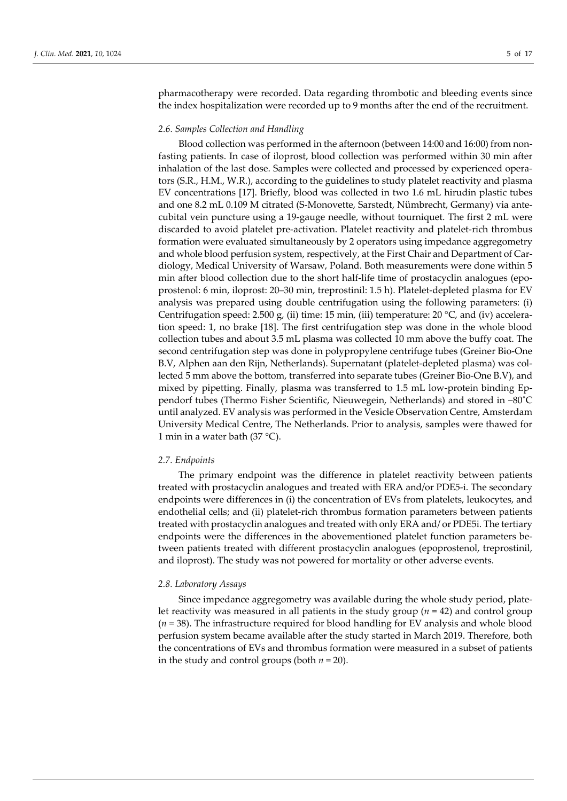pharmacotherapy were recorded. Data regarding thrombotic and bleeding events since the index hospitalization were recorded up to 9 months after the end of the recruitment.

#### *2.6. Samples Collection and Handling*

Blood collection was performed in the afternoon (between 14:00 and 16:00) from nonfasting patients. In case of iloprost, blood collection was performed within 30 min after inhalation of the last dose. Samples were collected and processed by experienced operators (S.R., H.M., W.R.), according to the guidelines to study platelet reactivity and plasma EV concentrations [17]. Briefly, blood was collected in two 1.6 mL hirudin plastic tubes and one 8.2 mL 0.109 M citrated (S-Monovette, Sarstedt, Nümbrecht, Germany) via antecubital vein puncture using a 19-gauge needle, without tourniquet. The first 2 mL were discarded to avoid platelet pre-activation. Platelet reactivity and platelet-rich thrombus formation were evaluated simultaneously by 2 operators using impedance aggregometry and whole blood perfusion system, respectively, at the First Chair and Department of Cardiology, Medical University of Warsaw, Poland. Both measurements were done within 5 min after blood collection due to the short half-life time of prostacyclin analogues (epoprostenol: 6 min, iloprost: 20–30 min, treprostinil: 1.5 h). Platelet-depleted plasma for EV analysis was prepared using double centrifugation using the following parameters: (i) Centrifugation speed: 2.500 g, (ii) time: 15 min, (iii) temperature: 20 °C, and (iv) acceleration speed: 1, no brake [18]. The first centrifugation step was done in the whole blood collection tubes and about 3.5 mL plasma was collected 10 mm above the buffy coat. The second centrifugation step was done in polypropylene centrifuge tubes (Greiner Bio-One B.V, Alphen aan den Rijn, Netherlands). Supernatant (platelet-depleted plasma) was collected 5 mm above the bottom, transferred into separate tubes (Greiner Bio-One B.V), and mixed by pipetting. Finally, plasma was transferred to 1.5 mL low-protein binding Eppendorf tubes (Thermo Fisher Scientific, Nieuwegein, Netherlands) and stored in −80˚C until analyzed. EV analysis was performed in the Vesicle Observation Centre, Amsterdam University Medical Centre, The Netherlands. Prior to analysis, samples were thawed for 1 min in a water bath (37  $^{\circ}$ C).

#### *2.7. Endpoints*

The primary endpoint was the difference in platelet reactivity between patients treated with prostacyclin analogues and treated with ERA and/or PDE5-i. The secondary endpoints were differences in (i) the concentration of EVs from platelets, leukocytes, and endothelial cells; and (ii) platelet-rich thrombus formation parameters between patients treated with prostacyclin analogues and treated with only ERA and/ or PDE5i. The tertiary endpoints were the differences in the abovementioned platelet function parameters between patients treated with different prostacyclin analogues (epoprostenol, treprostinil, and iloprost). The study was not powered for mortality or other adverse events.

#### *2.8. Laboratory Assays*

Since impedance aggregometry was available during the whole study period, platelet reactivity was measured in all patients in the study group (*n* = 42) and control group (*n* = 38). The infrastructure required for blood handling for EV analysis and whole blood perfusion system became available after the study started in March 2019. Therefore, both the concentrations of EVs and thrombus formation were measured in a subset of patients in the study and control groups (both  $n = 20$ ).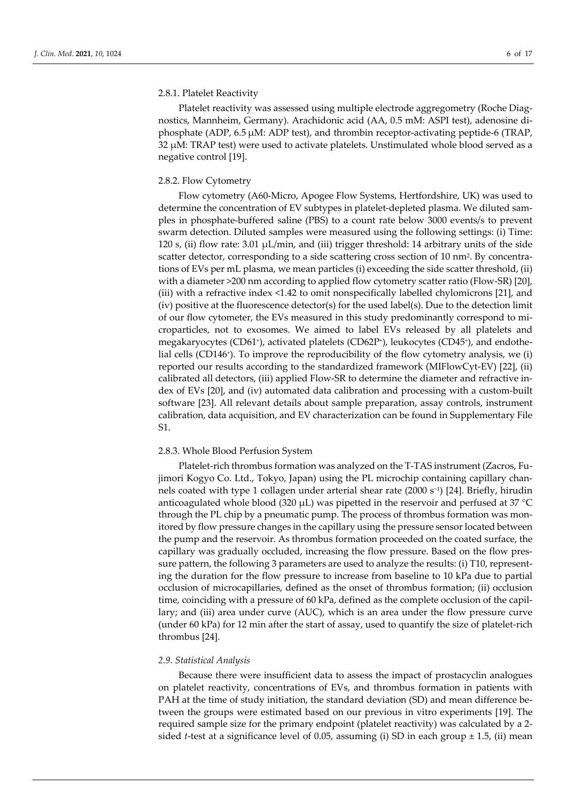#### 2.8.1. Platelet Reactivity

Platelet reactivity was assessed using multiple electrode aggregometry (Roche Diagnostics, Mannheim, Germany). Arachidonic acid (AA, 0.5 mM: ASPI test), adenosine diphosphate (ADP, 6.5 µM: ADP test), and thrombin receptor-activating peptide-6 (TRAP, 32 µM: TRAP test) were used to activate platelets. Unstimulated whole blood served as a negative control [19].

#### 2.8.2. Flow Cytometry

Flow cytometry (A60-Micro, Apogee Flow Systems, Hertfordshire, UK) was used to determine the concentration of EV subtypes in platelet-depleted plasma. We diluted samples in phosphate-buffered saline (PBS) to a count rate below 3000 events/s to prevent swarm detection. Diluted samples were measured using the following settings: (i) Time: 120 s, (ii) flow rate: 3.01  $\mu$ L/min, and (iii) trigger threshold: 14 arbitrary units of the side scatter detector, corresponding to a side scattering cross section of 10 nm<sup>2</sup>. By concentrations of EVs per mL plasma, we mean particles (i) exceeding the side scatter threshold, (ii) with a diameter >200 nm according to applied flow cytometry scatter ratio (Flow-SR) [20], (iii) with a refractive index <1.42 to omit nonspecifically labelled chylomicrons [21], and (iv) positive at the fluorescence detector(s) for the used label(s). Due to the detection limit of our flow cytometer, the EVs measured in this study predominantly correspond to microparticles, not to exosomes. We aimed to label EVs released by all platelets and megakaryocytes (CD61+), activated platelets (CD62P+), leukocytes (CD45+), and endothelial cells (CD146<sup>+</sup>). To improve the reproducibility of the flow cytometry analysis, we (i) reported our results according to the standardized framework (MIFlowCyt-EV) [22], (ii) calibrated all detectors, (iii) applied Flow-SR to determine the diameter and refractive index of EVs [20], and (iv) automated data calibration and processing with a custom-built software [23]. All relevant details about sample preparation, assay controls, instrument calibration, data acquisition, and EV characterization can be found in Supplementary File S1.

## 2.8.3. Whole Blood Perfusion System

Platelet-rich thrombus formation was analyzed on the T-TAS instrument (Zacros, Fujimori Kogyo Co. Ltd., Tokyo, Japan) using the PL microchip containing capillary channels coated with type 1 collagen under arterial shear rate (2000 s−1) [24]. Briefly, hirudin anticoagulated whole blood (320 µL) was pipetted in the reservoir and perfused at 37 °C through the PL chip by a pneumatic pump. The process of thrombus formation was monitored by flow pressure changes in the capillary using the pressure sensor located between the pump and the reservoir. As thrombus formation proceeded on the coated surface, the capillary was gradually occluded, increasing the flow pressure. Based on the flow pressure pattern, the following 3 parameters are used to analyze the results: (i) T10, representing the duration for the flow pressure to increase from baseline to 10 kPa due to partial occlusion of microcapillaries, defined as the onset of thrombus formation; (ii) occlusion time, coinciding with a pressure of 60 kPa, defined as the complete occlusion of the capillary; and (iii) area under curve (AUC), which is an area under the flow pressure curve (under 60 kPa) for 12 min after the start of assay, used to quantify the size of platelet-rich thrombus [24].

#### *2.9. Statistical Analysis*

Because there were insufficient data to assess the impact of prostacyclin analogues on platelet reactivity, concentrations of EVs, and thrombus formation in patients with PAH at the time of study initiation, the standard deviation (SD) and mean difference between the groups were estimated based on our previous in vitro experiments [19]. The required sample size for the primary endpoint (platelet reactivity) was calculated by a 2 sided *t*-test at a significance level of 0.05, assuming (i) SD in each group ± 1.5, (ii) mean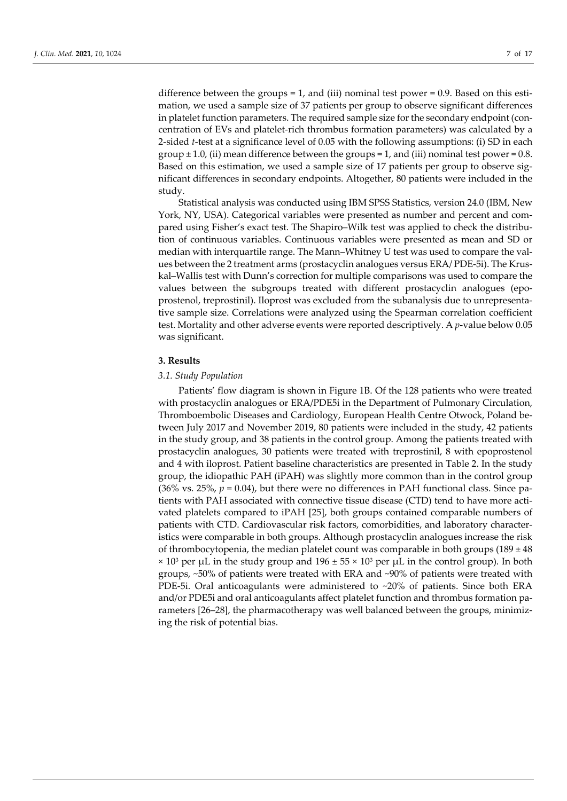difference between the groups  $= 1$ , and (iii) nominal test power  $= 0.9$ . Based on this estimation, we used a sample size of 37 patients per group to observe significant differences in platelet function parameters. The required sample size for the secondary endpoint (concentration of EVs and platelet-rich thrombus formation parameters) was calculated by a 2-sided *t*-test at a significance level of 0.05 with the following assumptions: (i) SD in each group  $\pm$  1.0, (ii) mean difference between the groups = 1, and (iii) nominal test power = 0.8. Based on this estimation, we used a sample size of 17 patients per group to observe significant differences in secondary endpoints. Altogether, 80 patients were included in the study.

Statistical analysis was conducted using IBM SPSS Statistics, version 24.0 (IBM, New York, NY, USA). Categorical variables were presented as number and percent and compared using Fisher's exact test. The Shapiro–Wilk test was applied to check the distribution of continuous variables. Continuous variables were presented as mean and SD or median with interquartile range. The Mann–Whitney U test was used to compare the values between the 2 treatment arms (prostacyclin analogues versus ERA/ PDE-5i). The Kruskal–Wallis test with Dunn's correction for multiple comparisons was used to compare the values between the subgroups treated with different prostacyclin analogues (epoprostenol, treprostinil). Iloprost was excluded from the subanalysis due to unrepresentative sample size. Correlations were analyzed using the Spearman correlation coefficient test. Mortality and other adverse events were reported descriptively. A *p*-value below 0.05 was significant.

### **3. Results**

#### *3.1. Study Population*

Patients' flow diagram is shown in Figure 1B. Of the 128 patients who were treated with prostacyclin analogues or ERA/PDE5i in the Department of Pulmonary Circulation, Thromboembolic Diseases and Cardiology, European Health Centre Otwock, Poland between July 2017 and November 2019, 80 patients were included in the study, 42 patients in the study group, and 38 patients in the control group. Among the patients treated with prostacyclin analogues, 30 patients were treated with treprostinil, 8 with epoprostenol and 4 with iloprost. Patient baseline characteristics are presented in Table 2. In the study group, the idiopathic PAH (iPAH) was slightly more common than in the control group (36% vs. 25%,  $p = 0.04$ ), but there were no differences in PAH functional class. Since patients with PAH associated with connective tissue disease (CTD) tend to have more activated platelets compared to iPAH [25], both groups contained comparable numbers of patients with CTD. Cardiovascular risk factors, comorbidities, and laboratory characteristics were comparable in both groups. Although prostacyclin analogues increase the risk of thrombocytopenia, the median platelet count was comparable in both groups (189  $\pm$  48  $\times$  10<sup>3</sup> per μL in the study group and 196  $\pm$  55  $\times$  10<sup>3</sup> per μL in the control group). In both groups, ~50% of patients were treated with ERA and ~90% of patients were treated with PDE-5i. Oral anticoagulants were administered to ~20% of patients. Since both ERA and/or PDE5i and oral anticoagulants affect platelet function and thrombus formation parameters [26–28], the pharmacotherapy was well balanced between the groups, minimizing the risk of potential bias.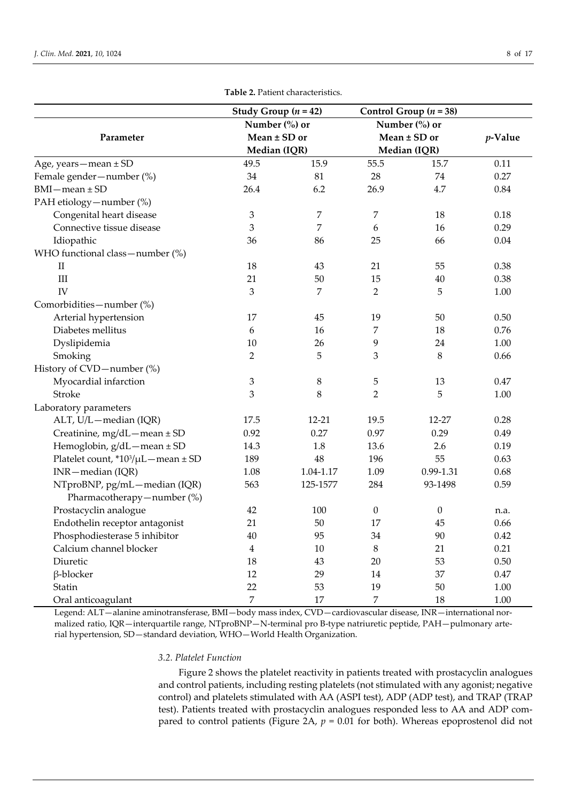|                                     |                                  | qie 4. I alient characteristics. |                                  |                          |            |                      |
|-------------------------------------|----------------------------------|----------------------------------|----------------------------------|--------------------------|------------|----------------------|
|                                     |                                  | Study Group $(n = 42)$           |                                  | Control Group $(n = 38)$ |            |                      |
|                                     |                                  | Number (%) or                    |                                  | Number (%) or            |            |                      |
| Parameter                           | Mean $\pm$ SD or<br>Median (IQR) |                                  | Mean $\pm$ SD or<br>Median (IQR) |                          | $p$ -Value |                      |
|                                     |                                  |                                  |                                  |                          |            | Age, years-mean ± SD |
| Female gender-number (%)            | 34                               | 81                               | 28                               | 74                       | 0.27       |                      |
| $BMI$ - mean $\pm$ SD               | 26.4                             | 6.2                              | 26.9                             | 4.7                      | 0.84       |                      |
| PAH etiology - number (%)           |                                  |                                  |                                  |                          |            |                      |
| Congenital heart disease            | 3                                | 7                                | 7                                | $18\,$                   | 0.18       |                      |
| Connective tissue disease           | 3                                | 7                                | 6                                | 16                       | 0.29       |                      |
| Idiopathic                          | 36                               | 86                               | 25                               | 66                       | 0.04       |                      |
| WHO functional class-number (%)     |                                  |                                  |                                  |                          |            |                      |
| $\rm II$                            | 18                               | 43                               | 21                               | 55                       | 0.38       |                      |
| III                                 | 21                               | 50                               | 15                               | 40                       | 0.38       |                      |
| IV                                  | 3                                | $\overline{7}$                   | $\overline{2}$                   | 5                        | 1.00       |                      |
| Comorbidities-number (%)            |                                  |                                  |                                  |                          |            |                      |
| Arterial hypertension               | 17                               | 45                               | 19                               | 50                       | 0.50       |                      |
| Diabetes mellitus                   | 6                                | 16                               | 7                                | 18                       | 0.76       |                      |
| Dyslipidemia                        | 10                               | 26                               | 9                                | 24                       | 1.00       |                      |
| Smoking                             | $\overline{2}$                   | 5                                | 3                                | $\,8\,$                  | 0.66       |                      |
| History of CVD-number (%)           |                                  |                                  |                                  |                          |            |                      |
| Myocardial infarction               | 3                                | $\,8\,$                          | 5                                | 13                       | 0.47       |                      |
| Stroke                              | 3                                | $\,8\,$                          | $\overline{2}$                   | 5                        | 1.00       |                      |
| Laboratory parameters               |                                  |                                  |                                  |                          |            |                      |
| ALT, U/L-median (IQR)               | 17.5                             | $12 - 21$                        | 19.5                             | 12-27                    | 0.28       |                      |
| Creatinine, mg/dL-mean ± SD         | 0.92                             | 0.27                             | 0.97                             | 0.29                     | 0.49       |                      |
| Hemoglobin, g/dL-mean ± SD          | 14.3                             | 1.8                              | 13.6                             | 2.6                      | 0.19       |                      |
| Platelet count, *103/µL - mean ± SD | 189                              | 48                               | 196                              | 55                       | 0.63       |                      |
| INR-median (IQR)                    | 1.08                             | 1.04-1.17                        | 1.09                             | 0.99-1.31                | 0.68       |                      |
| NTproBNP, pg/mL-median (IQR)        | 563                              | 125-1577                         | 284                              | 93-1498                  | 0.59       |                      |
| Pharmacotherapy-number (%)          |                                  |                                  |                                  |                          |            |                      |
| Prostacyclin analogue               | 42                               | 100                              | $\boldsymbol{0}$                 | $\boldsymbol{0}$         | n.a.       |                      |
| Endothelin receptor antagonist      | 21                               | 50                               | 17                               | 45                       | 0.66       |                      |
| Phosphodiesterase 5 inhibitor       | 40                               | 95                               | 34                               | 90                       | 0.42       |                      |
| Calcium channel blocker             | $\overline{4}$                   | 10                               | 8                                | 21                       | 0.21       |                      |
| Diuretic                            | 18                               | 43                               | 20                               | 53                       | 0.50       |                      |
| β-blocker                           | 12                               | 29                               | 14                               | 37                       | 0.47       |                      |

**Table 2.** Patient characteristics.

Legend: ALT—alanine aminotransferase, BMI—body mass index, CVD—cardiovascular disease, INR—international normalized ratio, IQR—interquartile range, NTproBNP—N-terminal pro B-type natriuretic peptide, PAH—pulmonary arterial hypertension, SD—standard deviation, WHO—World Health Organization.

Statin 22 53 19 50 1.00 Oral anticoagulant 1.00

### *3.2. Platelet Function*

Figure 2 shows the platelet reactivity in patients treated with prostacyclin analogues and control patients, including resting platelets (not stimulated with any agonist; negative control) and platelets stimulated with AA (ASPI test), ADP (ADP test), and TRAP (TRAP test). Patients treated with prostacyclin analogues responded less to AA and ADP compared to control patients (Figure 2A,  $p = 0.01$  for both). Whereas epoprostenol did not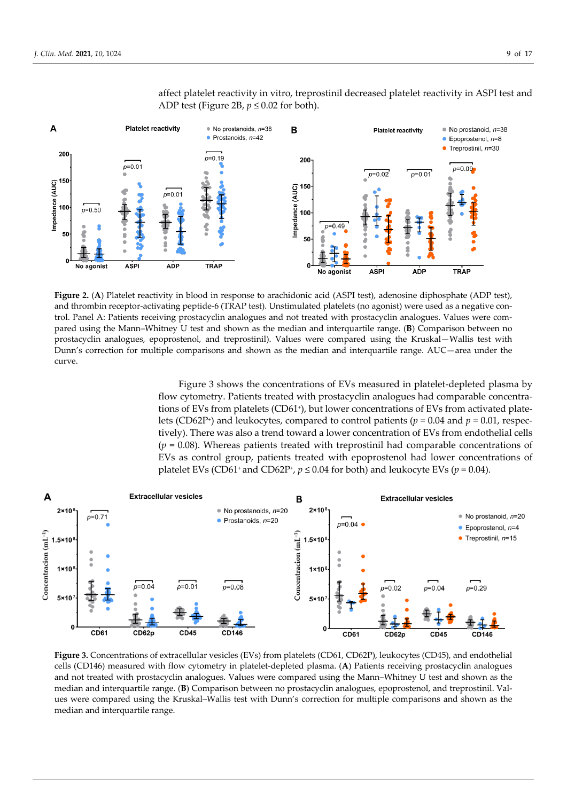

affect platelet reactivity in vitro, treprostinil decreased platelet reactivity in ASPI test and ADP test (Figure 2B,  $p \le 0.02$  for both).

**Figure 2.** (**A**) Platelet reactivity in blood in response to arachidonic acid (ASPI test), adenosine diphosphate (ADP test), and thrombin receptor-activating peptide-6 (TRAP test). Unstimulated platelets (no agonist) were used as a negative control. Panel A: Patients receiving prostacyclin analogues and not treated with prostacyclin analogues. Values were compared using the Mann–Whitney U test and shown as the median and interquartile range. (**B**) Comparison between no prostacyclin analogues, epoprostenol, and treprostinil). Values were compared using the Kruskal—Wallis test with Dunn's correction for multiple comparisons and shown as the median and interquartile range. AUC—area under the curve.

Figure 3 shows the concentrations of EVs measured in platelet-depleted plasma by flow cytometry. Patients treated with prostacyclin analogues had comparable concentrations of EVs from platelets (CD61+), but lower concentrations of EVs from activated platelets (CD62P+) and leukocytes, compared to control patients (*p* = 0.04 and *p* = 0.01, respectively). There was also a trend toward a lower concentration of EVs from endothelial cells (*p* = 0.08). Whereas patients treated with treprostinil had comparable concentrations of EVs as control group, patients treated with epoprostenol had lower concentrations of platelet EVs (CD61<sup>+</sup> and CD62P<sup>+</sup>,  $p \le 0.04$  for both) and leukocyte EVs ( $p = 0.04$ ).



**Figure 3.** Concentrations of extracellular vesicles (EVs) from platelets (CD61, CD62P), leukocytes (CD45), and endothelial cells (CD146) measured with flow cytometry in platelet-depleted plasma. (**A**) Patients receiving prostacyclin analogues and not treated with prostacyclin analogues. Values were compared using the Mann–Whitney U test and shown as the median and interquartile range. (**B**) Comparison between no prostacyclin analogues, epoprostenol, and treprostinil. Values were compared using the Kruskal–Wallis test with Dunn's correction for multiple comparisons and shown as the median and interquartile range.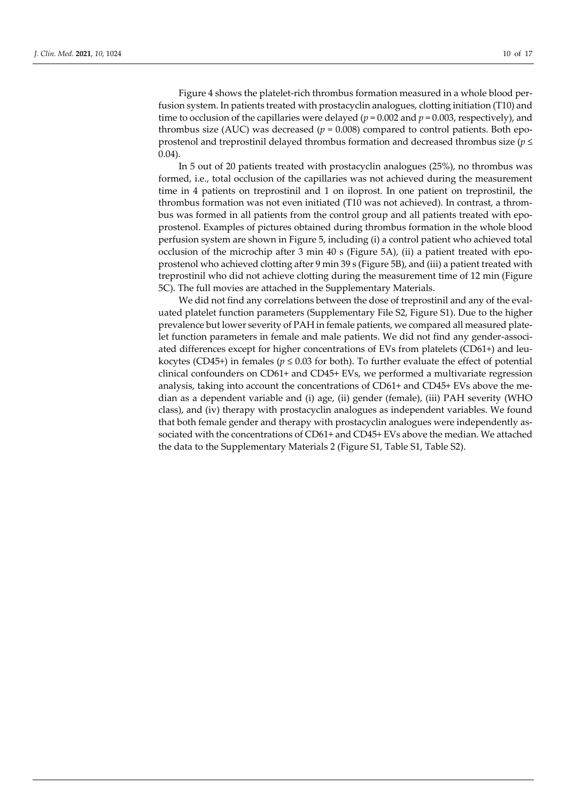Figure 4 shows the platelet-rich thrombus formation measured in a whole blood perfusion system. In patients treated with prostacyclin analogues, clotting initiation (T10) and time to occlusion of the capillaries were delayed ( $p = 0.002$  and  $p = 0.003$ , respectively), and thrombus size (AUC) was decreased ( $p = 0.008$ ) compared to control patients. Both epoprostenol and treprostinil delayed thrombus formation and decreased thrombus size (*p* ≤ 0.04).

In 5 out of 20 patients treated with prostacyclin analogues (25%), no thrombus was formed, i.e., total occlusion of the capillaries was not achieved during the measurement time in 4 patients on treprostinil and 1 on iloprost. In one patient on treprostinil, the thrombus formation was not even initiated (T10 was not achieved). In contrast, a thrombus was formed in all patients from the control group and all patients treated with epoprostenol. Examples of pictures obtained during thrombus formation in the whole blood perfusion system are shown in Figure 5, including (i) a control patient who achieved total occlusion of the microchip after 3 min 40 s (Figure 5A), (ii) a patient treated with epoprostenol who achieved clotting after 9 min 39 s (Figure 5B), and (iii) a patient treated with treprostinil who did not achieve clotting during the measurement time of 12 min (Figure 5C). The full movies are attached in the Supplementary Materials.

We did not find any correlations between the dose of treprostinil and any of the evaluated platelet function parameters (Supplementary File S2, Figure S1). Due to the higher prevalence but lower severity of PAH in female patients, we compared all measured platelet function parameters in female and male patients. We did not find any gender-associated differences except for higher concentrations of EVs from platelets (CD61+) and leukocytes (CD45+) in females ( $p \le 0.03$  for both). To further evaluate the effect of potential clinical confounders on CD61+ and CD45+ EVs, we performed a multivariate regression analysis, taking into account the concentrations of CD61+ and CD45+ EVs above the median as a dependent variable and (i) age, (ii) gender (female), (iii) PAH severity (WHO class), and (iv) therapy with prostacyclin analogues as independent variables. We found that both female gender and therapy with prostacyclin analogues were independently associated with the concentrations of CD61+ and CD45+ EVs above the median. We attached the data to the Supplementary Materials 2 (Figure S1, Table S1, Table S2).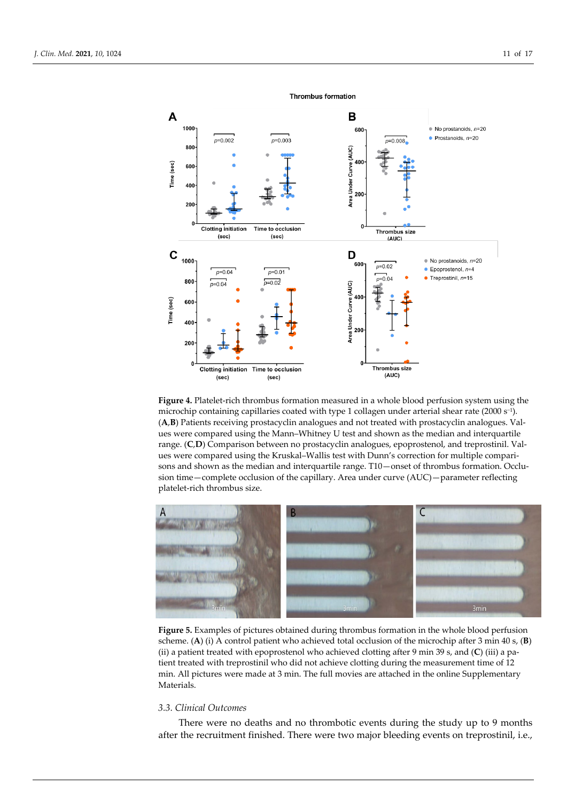

**Figure 4.** Platelet-rich thrombus formation measured in a whole blood perfusion system using the microchip containing capillaries coated with type 1 collagen under arterial shear rate (2000 s−1). (**A**,**B**) Patients receiving prostacyclin analogues and not treated with prostacyclin analogues. Values were compared using the Mann–Whitney U test and shown as the median and interquartile range. (**C**,**D**) Comparison between no prostacyclin analogues, epoprostenol, and treprostinil. Values were compared using the Kruskal–Wallis test with Dunn's correction for multiple comparisons and shown as the median and interquartile range. T10—onset of thrombus formation. Occlusion time—complete occlusion of the capillary. Area under curve (AUC)—parameter reflecting platelet-rich thrombus size.



**Figure 5.** Examples of pictures obtained during thrombus formation in the whole blood perfusion scheme. (**A**) (i) A control patient who achieved total occlusion of the microchip after 3 min 40 s, (**B**) (ii) a patient treated with epoprostenol who achieved clotting after 9 min 39 s, and (**C**) (iii) a patient treated with treprostinil who did not achieve clotting during the measurement time of 12 min. All pictures were made at 3 min. The full movies are attached in the online Supplementary Materials.

## *3.3. Clinical Outcomes*

There were no deaths and no thrombotic events during the study up to 9 months after the recruitment finished. There were two major bleeding events on treprostinil, i.e.,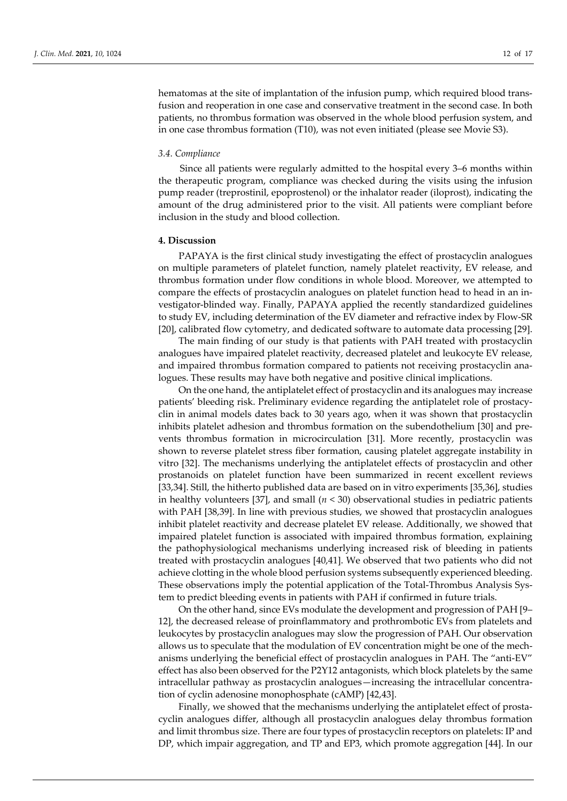hematomas at the site of implantation of the infusion pump, which required blood transfusion and reoperation in one case and conservative treatment in the second case. In both patients, no thrombus formation was observed in the whole blood perfusion system, and in one case thrombus formation (T10), was not even initiated (please see Movie S3).

#### *3.4. Compliance*

Since all patients were regularly admitted to the hospital every 3–6 months within the therapeutic program, compliance was checked during the visits using the infusion pump reader (treprostinil, epoprostenol) or the inhalator reader (iloprost), indicating the amount of the drug administered prior to the visit. All patients were compliant before inclusion in the study and blood collection.

#### **4. Discussion**

PAPAYA is the first clinical study investigating the effect of prostacyclin analogues on multiple parameters of platelet function, namely platelet reactivity, EV release, and thrombus formation under flow conditions in whole blood. Moreover, we attempted to compare the effects of prostacyclin analogues on platelet function head to head in an investigator-blinded way. Finally, PAPAYA applied the recently standardized guidelines to study EV, including determination of the EV diameter and refractive index by Flow-SR [20], calibrated flow cytometry, and dedicated software to automate data processing [29].

The main finding of our study is that patients with PAH treated with prostacyclin analogues have impaired platelet reactivity, decreased platelet and leukocyte EV release, and impaired thrombus formation compared to patients not receiving prostacyclin analogues. These results may have both negative and positive clinical implications.

On the one hand, the antiplatelet effect of prostacyclin and its analogues may increase patients' bleeding risk. Preliminary evidence regarding the antiplatelet role of prostacyclin in animal models dates back to 30 years ago, when it was shown that prostacyclin inhibits platelet adhesion and thrombus formation on the subendothelium [30] and prevents thrombus formation in microcirculation [31]. More recently, prostacyclin was shown to reverse platelet stress fiber formation, causing platelet aggregate instability in vitro [32]. The mechanisms underlying the antiplatelet effects of prostacyclin and other prostanoids on platelet function have been summarized in recent excellent reviews [33,34]. Still, the hitherto published data are based on in vitro experiments [35,36], studies in healthy volunteers [37], and small  $(n < 30)$  observational studies in pediatric patients with PAH [38,39]. In line with previous studies, we showed that prostacyclin analogues inhibit platelet reactivity and decrease platelet EV release. Additionally, we showed that impaired platelet function is associated with impaired thrombus formation, explaining the pathophysiological mechanisms underlying increased risk of bleeding in patients treated with prostacyclin analogues [40,41]. We observed that two patients who did not achieve clotting in the whole blood perfusion systems subsequently experienced bleeding. These observations imply the potential application of the Total-Thrombus Analysis System to predict bleeding events in patients with PAH if confirmed in future trials.

On the other hand, since EVs modulate the development and progression of PAH [9– 12], the decreased release of proinflammatory and prothrombotic EVs from platelets and leukocytes by prostacyclin analogues may slow the progression of PAH. Our observation allows us to speculate that the modulation of EV concentration might be one of the mechanisms underlying the beneficial effect of prostacyclin analogues in PAH. The "anti-EV" effect has also been observed for the P2Y12 antagonists, which block platelets by the same intracellular pathway as prostacyclin analogues—increasing the intracellular concentration of cyclin adenosine monophosphate (cAMP) [42,43].

Finally, we showed that the mechanisms underlying the antiplatelet effect of prostacyclin analogues differ, although all prostacyclin analogues delay thrombus formation and limit thrombus size. There are four types of prostacyclin receptors on platelets: IP and DP, which impair aggregation, and TP and EP3, which promote aggregation [44]. In our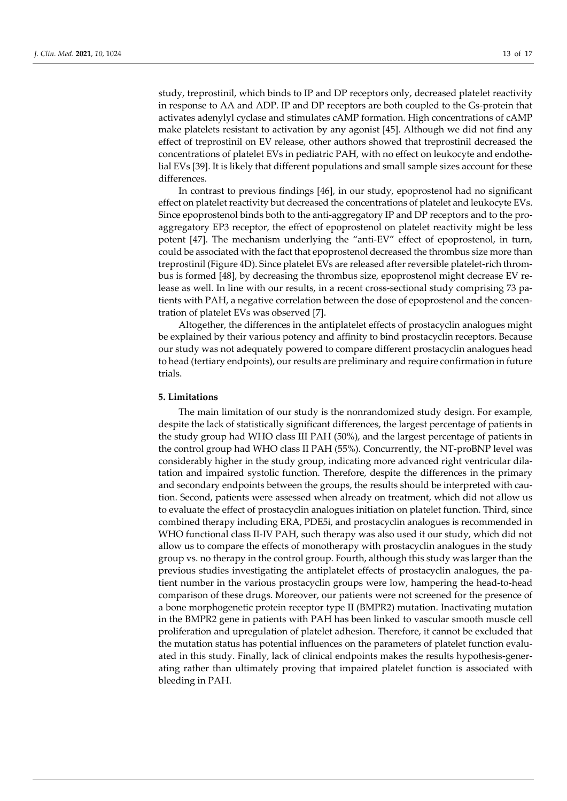study, treprostinil, which binds to IP and DP receptors only, decreased platelet reactivity in response to AA and ADP. IP and DP receptors are both coupled to the Gs-protein that activates adenylyl cyclase and stimulates cAMP formation. High concentrations of cAMP make platelets resistant to activation by any agonist [45]. Although we did not find any effect of treprostinil on EV release, other authors showed that treprostinil decreased the concentrations of platelet EVs in pediatric PAH, with no effect on leukocyte and endothelial EVs [39]. It is likely that different populations and small sample sizes account for these differences.

In contrast to previous findings [46], in our study, epoprostenol had no significant effect on platelet reactivity but decreased the concentrations of platelet and leukocyte EVs. Since epoprostenol binds both to the anti-aggregatory IP and DP receptors and to the proaggregatory EP3 receptor, the effect of epoprostenol on platelet reactivity might be less potent [47]. The mechanism underlying the "anti-EV" effect of epoprostenol, in turn, could be associated with the fact that epoprostenol decreased the thrombus size more than treprostinil (Figure 4D). Since platelet EVs are released after reversible platelet-rich thrombus is formed [48], by decreasing the thrombus size, epoprostenol might decrease EV release as well. In line with our results, in a recent cross-sectional study comprising 73 patients with PAH, a negative correlation between the dose of epoprostenol and the concentration of platelet EVs was observed [7].

Altogether, the differences in the antiplatelet effects of prostacyclin analogues might be explained by their various potency and affinity to bind prostacyclin receptors. Because our study was not adequately powered to compare different prostacyclin analogues head to head (tertiary endpoints), our results are preliminary and require confirmation in future trials.

### **5. Limitations**

The main limitation of our study is the nonrandomized study design. For example, despite the lack of statistically significant differences, the largest percentage of patients in the study group had WHO class III PAH (50%), and the largest percentage of patients in the control group had WHO class II PAH (55%). Concurrently, the NT-proBNP level was considerably higher in the study group, indicating more advanced right ventricular dilatation and impaired systolic function. Therefore, despite the differences in the primary and secondary endpoints between the groups, the results should be interpreted with caution. Second, patients were assessed when already on treatment, which did not allow us to evaluate the effect of prostacyclin analogues initiation on platelet function. Third, since combined therapy including ERA, PDE5i, and prostacyclin analogues is recommended in WHO functional class II-IV PAH, such therapy was also used it our study, which did not allow us to compare the effects of monotherapy with prostacyclin analogues in the study group vs. no therapy in the control group. Fourth, although this study was larger than the previous studies investigating the antiplatelet effects of prostacyclin analogues, the patient number in the various prostacyclin groups were low, hampering the head-to-head comparison of these drugs. Moreover, our patients were not screened for the presence of a bone morphogenetic protein receptor type II (BMPR2) mutation. Inactivating mutation in the BMPR2 gene in patients with PAH has been linked to vascular smooth muscle cell proliferation and upregulation of platelet adhesion. Therefore, it cannot be excluded that the mutation status has potential influences on the parameters of platelet function evaluated in this study. Finally, lack of clinical endpoints makes the results hypothesis-generating rather than ultimately proving that impaired platelet function is associated with bleeding in PAH.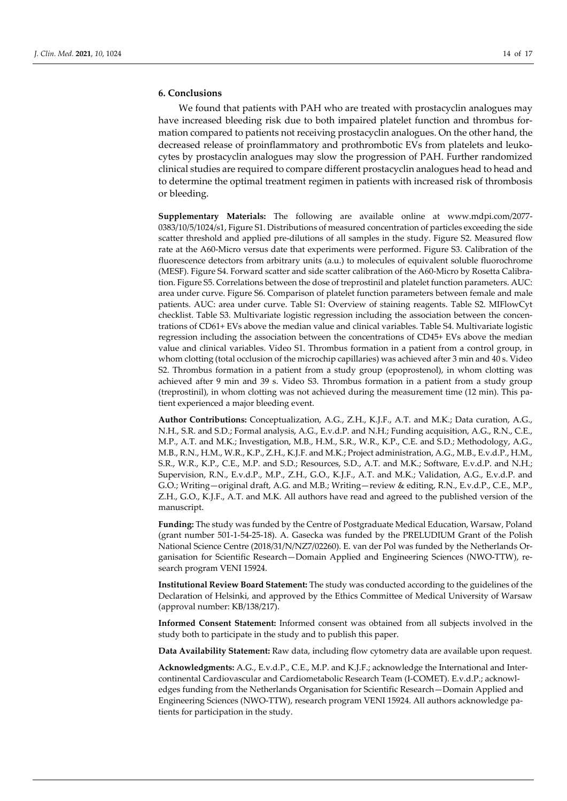## **6. Conclusions**

We found that patients with PAH who are treated with prostacyclin analogues may have increased bleeding risk due to both impaired platelet function and thrombus formation compared to patients not receiving prostacyclin analogues. On the other hand, the decreased release of proinflammatory and prothrombotic EVs from platelets and leukocytes by prostacyclin analogues may slow the progression of PAH. Further randomized clinical studies are required to compare different prostacyclin analogues head to head and to determine the optimal treatment regimen in patients with increased risk of thrombosis or bleeding.

**Supplementary Materials:** The following are available online at www.mdpi.com/2077- 0383/10/5/1024/s1, Figure S1. Distributions of measured concentration of particles exceeding the side scatter threshold and applied pre-dilutions of all samples in the study. Figure S2. Measured flow rate at the A60-Micro versus date that experiments were performed. Figure S3. Calibration of the fluorescence detectors from arbitrary units (a.u.) to molecules of equivalent soluble fluorochrome (MESF). Figure S4. Forward scatter and side scatter calibration of the A60-Micro by Rosetta Calibration. Figure S5. Correlations between the dose of treprostinil and platelet function parameters. AUC: area under curve. Figure S6. Comparison of platelet function parameters between female and male patients. AUC: area under curve. Table S1: Overview of staining reagents. Table S2. MIFlowCyt checklist. Table S3. Multivariate logistic regression including the association between the concentrations of CD61+ EVs above the median value and clinical variables. Table S4. Multivariate logistic regression including the association between the concentrations of CD45+ EVs above the median value and clinical variables. Video S1. Thrombus formation in a patient from a control group, in whom clotting (total occlusion of the microchip capillaries) was achieved after 3 min and 40 s. Video S2. Thrombus formation in a patient from a study group (epoprostenol), in whom clotting was achieved after 9 min and 39 s. Video S3. Thrombus formation in a patient from a study group (treprostinil), in whom clotting was not achieved during the measurement time (12 min). This patient experienced a major bleeding event.

**Author Contributions:** Conceptualization, A.G., Z.H., K.J.F., A.T. and M.K.; Data curation, A.G., N.H., S.R. and S.D.; Formal analysis, A.G., E.v.d.P. and N.H.; Funding acquisition, A.G., R.N., C.E., M.P., A.T. and M.K.; Investigation, M.B., H.M., S.R., W.R., K.P., C.E. and S.D.; Methodology, A.G., M.B., R.N., H.M., W.R., K.P., Z.H., K.J.F. and M.K.; Project administration, A.G., M.B., E.v.d.P., H.M., S.R., W.R., K.P., C.E., M.P. and S.D.; Resources, S.D., A.T. and M.K.; Software, E.v.d.P. and N.H.; Supervision, R.N., E.v.d.P., M.P., Z.H., G.O., K.J.F., A.T. and M.K.; Validation, A.G., E.v.d.P. and G.O.; Writing—original draft, A.G. and M.B.; Writing—review & editing, R.N., E.v.d.P., C.E., M.P., Z.H., G.O., K.J.F., A.T. and M.K. All authors have read and agreed to the published version of the manuscript.

**Funding:** The study was funded by the Centre of Postgraduate Medical Education, Warsaw, Poland (grant number 501-1-54-25-18). A. Gasecka was funded by the PRELUDIUM Grant of the Polish National Science Centre (2018/31/N/NZ7/02260). E. van der Pol was funded by the Netherlands Organisation for Scientific Research—Domain Applied and Engineering Sciences (NWO-TTW), research program VENI 15924.

**Institutional Review Board Statement:** The study was conducted according to the guidelines of the Declaration of Helsinki, and approved by the Ethics Committee of Medical University of Warsaw (approval number: KB/138/217).

**Informed Consent Statement:** Informed consent was obtained from all subjects involved in the study both to participate in the study and to publish this paper.

**Data Availability Statement:** Raw data, including flow cytometry data are available upon request.

**Acknowledgments:** A.G., E.v.d.P., C.E., M.P. and K.J.F.; acknowledge the International and Intercontinental Cardiovascular and Cardiometabolic Research Team (I-COMET). E.v.d.P.; acknowledges funding from the Netherlands Organisation for Scientific Research—Domain Applied and Engineering Sciences (NWO-TTW), research program VENI 15924. All authors acknowledge patients for participation in the study.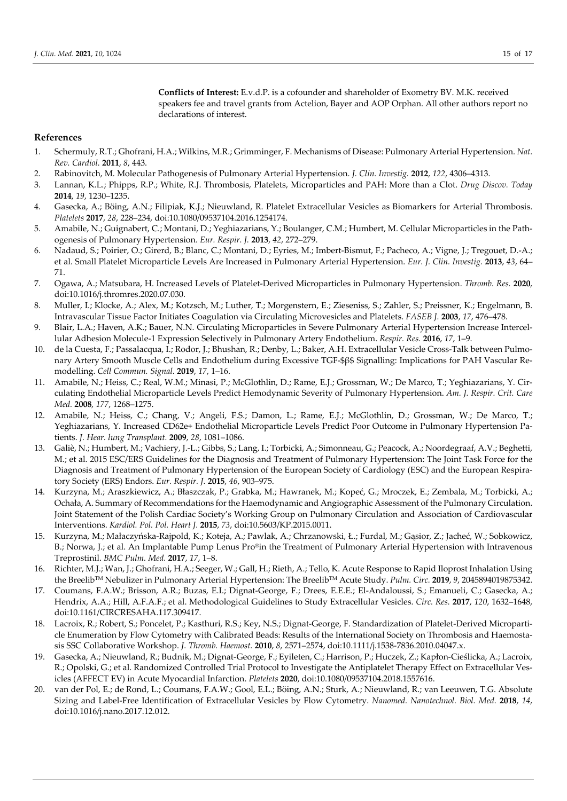**Conflicts of Interest:** E.v.d.P. is a cofounder and shareholder of Exometry BV. M.K. received speakers fee and travel grants from Actelion, Bayer and AOP Orphan. All other authors report no declarations of interest.

### **References**

- 1. Schermuly, R.T.; Ghofrani, H.A.; Wilkins, M.R.; Grimminger, F. Mechanisms of Disease: Pulmonary Arterial Hypertension. *Nat. Rev. Cardiol.* **2011**, *8*, 443.
- 2. Rabinovitch, M. Molecular Pathogenesis of Pulmonary Arterial Hypertension. *J. Clin. Investig.* **2012**, *122*, 4306–4313.
- 3. Lannan, K.L.; Phipps, R.P.; White, R.J. Thrombosis, Platelets, Microparticles and PAH: More than a Clot. *Drug Discov. Today* **2014**, *19*, 1230–1235.
- 4. Gasecka, A.; Böing, A.N.; Filipiak, K.J.; Nieuwland, R. Platelet Extracellular Vesicles as Biomarkers for Arterial Thrombosis. *Platelets* **2017**, *28*, 228–234, doi:10.1080/09537104.2016.1254174.
- 5. Amabile, N.; Guignabert, C.; Montani, D.; Yeghiazarians, Y.; Boulanger, C.M.; Humbert, M. Cellular Microparticles in the Pathogenesis of Pulmonary Hypertension. *Eur. Respir. J.* **2013**, *42*, 272–279.
- 6. Nadaud, S.; Poirier, O.; Girerd, B.; Blanc, C.; Montani, D.; Eyries, M.; Imbert-Bismut, F.; Pacheco, A.; Vigne, J.; Tregouet, D.-A.; et al. Small Platelet Microparticle Levels Are Increased in Pulmonary Arterial Hypertension. *Eur. J. Clin. Investig.* **2013**, *43*, 64– 71.
- 7. Ogawa, A.; Matsubara, H. Increased Levels of Platelet-Derived Microparticles in Pulmonary Hypertension. *Thromb. Res.* **2020**, doi:10.1016/j.thromres.2020.07.030.
- 8. Muller, I.; Klocke, A.; Alex, M.; Kotzsch, M.; Luther, T.; Morgenstern, E.; Zieseniss, S.; Zahler, S.; Preissner, K.; Engelmann, B. Intravascular Tissue Factor Initiates Coagulation via Circulating Microvesicles and Platelets. *FASEB J.* **2003**, *17*, 476–478.
- 9. Blair, L.A.; Haven, A.K.; Bauer, N.N. Circulating Microparticles in Severe Pulmonary Arterial Hypertension Increase Intercellular Adhesion Molecule-1 Expression Selectively in Pulmonary Artery Endothelium. *Respir. Res.* **2016**, *17*, 1–9.
- 10. de la Cuesta, F.; Passalacqua, I.; Rodor, J.; Bhushan, R.; Denby, L.; Baker, A.H. Extracellular Vesicle Cross-Talk between Pulmonary Artery Smooth Muscle Cells and Endothelium during Excessive TGF-\$β\$ Signalling: Implications for PAH Vascular Remodelling. *Cell Commun. Signal.* **2019**, *17*, 1–16.
- 11. Amabile, N.; Heiss, C.; Real, W.M.; Minasi, P.; McGlothlin, D.; Rame, E.J.; Grossman, W.; De Marco, T.; Yeghiazarians, Y. Circulating Endothelial Microparticle Levels Predict Hemodynamic Severity of Pulmonary Hypertension. *Am. J. Respir. Crit. Care Med.* **2008**, *177*, 1268–1275.
- 12. Amabile, N.; Heiss, C.; Chang, V.; Angeli, F.S.; Damon, L.; Rame, E.J.; McGlothlin, D.; Grossman, W.; De Marco, T.; Yeghiazarians, Y. Increased CD62e+ Endothelial Microparticle Levels Predict Poor Outcome in Pulmonary Hypertension Patients. *J. Hear. lung Transplant.* **2009**, *28*, 1081–1086.
- 13. Galiè, N.; Humbert, M.; Vachiery, J.-L.; Gibbs, S.; Lang, I.; Torbicki, A.; Simonneau, G.; Peacock, A.; Noordegraaf, A.V.; Beghetti, M.; et al. 2015 ESC/ERS Guidelines for the Diagnosis and Treatment of Pulmonary Hypertension: The Joint Task Force for the Diagnosis and Treatment of Pulmonary Hypertension of the European Society of Cardiology (ESC) and the European Respiratory Society (ERS) Endors. *Eur. Respir. J.* **2015**, *46*, 903–975.
- 14. Kurzyna, M.; Araszkiewicz, A.; Błaszczak, P.; Grabka, M.; Hawranek, M.; Kopeć, G.; Mroczek, E.; Zembala, M.; Torbicki, A.; Ochała, A. Summary of Recommendations for the Haemodynamic and Angiographic Assessment of the Pulmonary Circulation. Joint Statement of the Polish Cardiac Society's Working Group on Pulmonary Circulation and Association of Cardiovascular Interventions. *Kardiol. Pol. Pol. Heart J.* **2015**, *73*, doi:10.5603/KP.2015.0011.
- 15. Kurzyna, M.; Małaczyńska-Rajpold, K.; Koteja, A.; Pawlak, A.; Chrzanowski, Ł.; Furdal, M.; Gąsior, Z.; Jacheć, W.; Sobkowicz, B.; Norwa, J.; et al. An Implantable Pump Lenus Pro®in the Treatment of Pulmonary Arterial Hypertension with Intravenous Treprostinil. *BMC Pulm. Med.* **2017**, *17*, 1–8.
- 16. Richter, M.J.; Wan, J.; Ghofrani, H.A.; Seeger, W.; Gall, H.; Rieth, A.; Tello, K. Acute Response to Rapid Iloprost Inhalation Using the BreelibTM Nebulizer in Pulmonary Arterial Hypertension: The BreelibTM Acute Study. *Pulm. Circ.* **2019**, *9*, 2045894019875342.
- 17. Coumans, F.A.W.; Brisson, A.R.; Buzas, E.I.; Dignat-George, F.; Drees, E.E.E.; El-Andaloussi, S.; Emanueli, C.; Gasecka, A.; Hendrix, A.A.; Hill, A.F.A.F.; et al. Methodological Guidelines to Study Extracellular Vesicles. *Circ. Res.* **2017**, *120*, 1632–1648, doi:10.1161/CIRCRESAHA.117.309417.
- Lacroix, R.; Robert, S.; Poncelet, P.; Kasthuri, R.S.; Key, N.S.; Dignat-George, F. Standardization of Platelet-Derived Microparticle Enumeration by Flow Cytometry with Calibrated Beads: Results of the International Society on Thrombosis and Haemostasis SSC Collaborative Workshop. *J. Thromb. Haemost.* **2010**, *8*, 2571–2574, doi:10.1111/j.1538-7836.2010.04047.x.
- 19. Gasecka, A.; Nieuwland, R.; Budnik, M.; Dignat-George, F.; Eyileten, C.; Harrison, P.; Huczek, Z.; Kapłon-Cieślicka, A.; Lacroix, R.; Opolski, G.; et al. Randomized Controlled Trial Protocol to Investigate the Antiplatelet Therapy Effect on Extracellular Vesicles (AFFECT EV) in Acute Myocardial Infarction. *Platelets* **2020**, doi:10.1080/09537104.2018.1557616.
- 20. van der Pol, E.; de Rond, L.; Coumans, F.A.W.; Gool, E.L.; Böing, A.N.; Sturk, A.; Nieuwland, R.; van Leeuwen, T.G. Absolute Sizing and Label-Free Identification of Extracellular Vesicles by Flow Cytometry. *Nanomed. Nanotechnol. Biol. Med.* **2018**, *14*, doi:10.1016/j.nano.2017.12.012.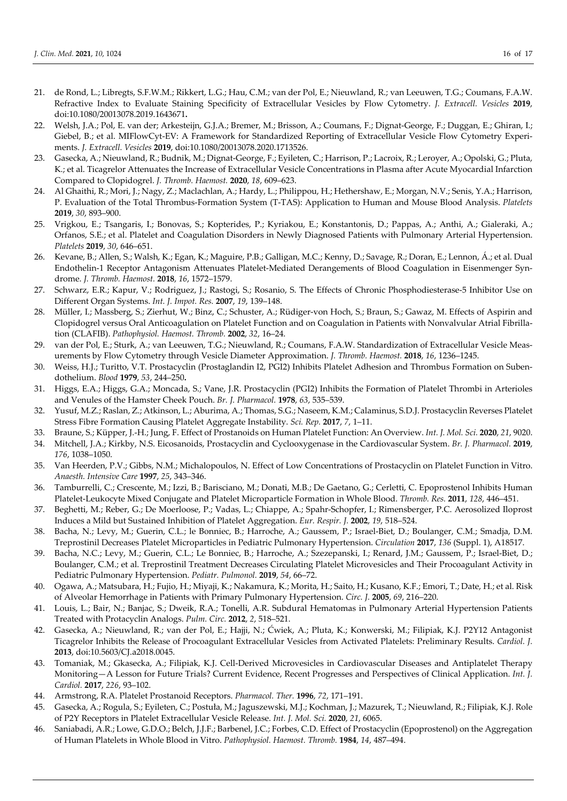- 21. de Rond, L.; Libregts, S.F.W.M.; Rikkert, L.G.; Hau, C.M.; van der Pol, E.; Nieuwland, R.; van Leeuwen, T.G.; Coumans, F.A.W. Refractive Index to Evaluate Staining Specificity of Extracellular Vesicles by Flow Cytometry. *J. Extracell. Vesicles* **2019**, doi:10.1080/20013078.2019.1643671**.**
- 22. Welsh, J.A.; Pol, E. van der; Arkesteijn, G.J.A.; Bremer, M.; Brisson, A.; Coumans, F.; Dignat-George, F.; Duggan, E.; Ghiran, I.; Giebel, B.; et al. MIFlowCyt-EV: A Framework for Standardized Reporting of Extracellular Vesicle Flow Cytometry Experiments. *J. Extracell. Vesicles* **2019**, doi:10.1080/20013078.2020.1713526.
- 23. Gasecka, A.; Nieuwland, R.; Budnik, M.; Dignat-George, F.; Eyileten, C.; Harrison, P.; Lacroix, R.; Leroyer, A.; Opolski, G.; Pluta, K.; et al. Ticagrelor Attenuates the Increase of Extracellular Vesicle Concentrations in Plasma after Acute Myocardial Infarction Compared to Clopidogrel. *J. Thromb. Haemost.* **2020**, *18*, 609–623.
- 24. Al Ghaithi, R.; Mori, J.; Nagy, Z.; Maclachlan, A.; Hardy, L.; Philippou, H.; Hethershaw, E.; Morgan, N.V.; Senis, Y.A.; Harrison, P. Evaluation of the Total Thrombus-Formation System (T-TAS): Application to Human and Mouse Blood Analysis. *Platelets* **2019**, *30*, 893–900.
- 25. Vrigkou, E.; Tsangaris, I.; Bonovas, S.; Kopterides, P.; Kyriakou, E.; Konstantonis, D.; Pappas, A.; Anthi, A.; Gialeraki, A.; Orfanos, S.E.; et al. Platelet and Coagulation Disorders in Newly Diagnosed Patients with Pulmonary Arterial Hypertension. *Platelets* **2019**, *30*, 646–651.
- 26. Kevane, B.; Allen, S.; Walsh, K.; Egan, K.; Maguire, P.B.; Galligan, M.C.; Kenny, D.; Savage, R.; Doran, E.; Lennon, Á.; et al. Dual Endothelin-1 Receptor Antagonism Attenuates Platelet-Mediated Derangements of Blood Coagulation in Eisenmenger Syndrome. *J. Thromb. Haemost.* **2018**, *16*, 1572–1579.
- 27. Schwarz, E.R.; Kapur, V.; Rodriguez, J.; Rastogi, S.; Rosanio, S. The Effects of Chronic Phosphodiesterase-5 Inhibitor Use on Different Organ Systems. *Int. J. Impot. Res.* **2007**, *19*, 139–148.
- 28. Müller, I.; Massberg, S.; Zierhut, W.; Binz, C.; Schuster, A.; Rüdiger-von Hoch, S.; Braun, S.; Gawaz, M. Effects of Aspirin and Clopidogrel versus Oral Anticoagulation on Platelet Function and on Coagulation in Patients with Nonvalvular Atrial Fibrillation (CLAFIB). *Pathophysiol. Haemost. Thromb.* **2002**, *32*, 16–24.
- 29. van der Pol, E.; Sturk, A.; van Leeuwen, T.G.; Nieuwland, R.; Coumans, F.A.W. Standardization of Extracellular Vesicle Measurements by Flow Cytometry through Vesicle Diameter Approximation. *J. Thromb. Haemost.* **2018**, *16*, 1236–1245.
- 30. Weiss, H.J.; Turitto, V.T. Prostacyclin (Prostaglandin I2, PGI2) Inhibits Platelet Adhesion and Thrombus Formation on Subendothelium. *Blood* **1979**, *53*, 244–250**.**
- 31. Higgs, E.A.; Higgs, G.A.; Moncada, S.; Vane, J.R. Prostacyclin (PGI2) Inhibits the Formation of Platelet Thrombi in Arterioles and Venules of the Hamster Cheek Pouch. *Br. J. Pharmacol.* **1978**, *63*, 535–539.
- 32. Yusuf, M.Z.; Raslan, Z.; Atkinson, L.; Aburima, A.; Thomas, S.G.; Naseem, K.M.; Calaminus, S.D.J. Prostacyclin Reverses Platelet Stress Fibre Formation Causing Platelet Aggregate Instability. *Sci. Rep.* **2017**, *7*, 1–11.
- 33. Braune, S.; Küpper, J.-H.; Jung, F. Effect of Prostanoids on Human Platelet Function: An Overview. *Int. J. Mol. Sci.* **2020**, *21*, 9020.
- 34. Mitchell, J.A.; Kirkby, N.S. Eicosanoids, Prostacyclin and Cyclooxygenase in the Cardiovascular System. *Br. J. Pharmacol.* **2019**, *176*, 1038–1050.
- 35. Van Heerden, P.V.; Gibbs, N.M.; Michalopoulos, N. Effect of Low Concentrations of Prostacyclin on Platelet Function in Vitro. *Anaesth. Intensive Care* **1997**, *25*, 343–346.
- 36. Tamburrelli, C.; Crescente, M.; Izzi, B.; Barisciano, M.; Donati, M.B.; De Gaetano, G.; Cerletti, C. Epoprostenol Inhibits Human Platelet-Leukocyte Mixed Conjugate and Platelet Microparticle Formation in Whole Blood. *Thromb. Res.* **2011**, *128*, 446–451.
- 37. Beghetti, M.; Reber, G.; De Moerloose, P.; Vadas, L.; Chiappe, A.; Spahr-Schopfer, I.; Rimensberger, P.C. Aerosolized Iloprost Induces a Mild but Sustained Inhibition of Platelet Aggregation. *Eur. Respir. J.* **2002**, *19*, 518–524.
- 38. Bacha, N.; Levy, M.; Guerin, C.L.; le Bonniec, B.; Harroche, A.; Gaussem, P.; Israel-Biet, D.; Boulanger, C.M.; Smadja, D.M. Treprostinil Decreases Platelet Microparticles in Pediatric Pulmonary Hypertension. *Circulation* **2017**, *136* (Suppl. 1), A18517.
- 39. Bacha, N.C.; Levy, M.; Guerin, C.L.; Le Bonniec, B.; Harroche, A.; Szezepanski, I.; Renard, J.M.; Gaussem, P.; Israel-Biet, D.; Boulanger, C.M.; et al. Treprostinil Treatment Decreases Circulating Platelet Microvesicles and Their Procoagulant Activity in Pediatric Pulmonary Hypertension. *Pediatr. Pulmonol.* **2019**, *54*, 66–72.
- 40. Ogawa, A.; Matsubara, H.; Fujio, H.; Miyaji, K.; Nakamura, K.; Morita, H.; Saito, H.; Kusano, K.F.; Emori, T.; Date, H.; et al. Risk of Alveolar Hemorrhage in Patients with Primary Pulmonary Hypertension. *Circ. J.* **2005**, *69*, 216–220.
- 41. Louis, L.; Bair, N.; Banjac, S.; Dweik, R.A.; Tonelli, A.R. Subdural Hematomas in Pulmonary Arterial Hypertension Patients Treated with Protacyclin Analogs. *Pulm. Circ.* **2012**, *2*, 518–521.
- 42. Gasecka, A.; Nieuwland, R.; van der Pol, E.; Hajji, N.; Ćwiek, A.; Pluta, K.; Konwerski, M.; Filipiak, K.J. P2Y12 Antagonist Ticagrelor Inhibits the Release of Procoagulant Extracellular Vesicles from Activated Platelets: Preliminary Results. *Cardiol. J.*  **2013**, doi:10.5603/CJ.a2018.0045.
- 43. Tomaniak, M.; Gkasecka, A.; Filipiak, K.J. Cell-Derived Microvesicles in Cardiovascular Diseases and Antiplatelet Therapy Monitoring—A Lesson for Future Trials? Current Evidence, Recent Progresses and Perspectives of Clinical Application. *Int. J. Cardiol.* **2017**, *226*, 93–102.
- 44. Armstrong, R.A. Platelet Prostanoid Receptors. *Pharmacol. Ther.* **1996**, *72*, 171–191.
- 45. Gasecka, A.; Rogula, S.; Eyileten, C.; Postuła, M.; Jaguszewski, M.J.; Kochman, J.; Mazurek, T.; Nieuwland, R.; Filipiak, K.J. Role of P2Y Receptors in Platelet Extracellular Vesicle Release. *Int. J. Mol. Sci.* **2020**, *21*, 6065.
- 46. Saniabadi, A.R.; Lowe, G.D.O.; Belch, J.J.F.; Barbenel, J.C.; Forbes, C.D. Effect of Prostacyclin (Epoprostenol) on the Aggregation of Human Platelets in Whole Blood in Vitro. *Pathophysiol. Haemost. Thromb.* **1984**, *14*, 487–494.